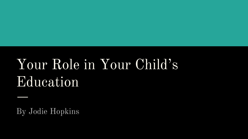# Your Role in Your Child's Education

By Jodie Hopkins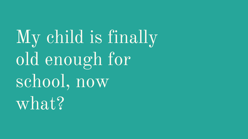My child is finally old enough for school, now what?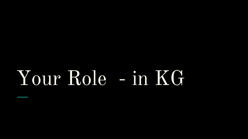# Your Role - in KG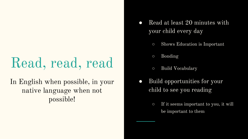## Read, read, read

#### In English when possible, in your native language when not possible!

- Read at least 20 minutes with your child every day
	- Shows Education is Important
	- Bonding
	- Build Vocabulary
- Build opportunities for your child to see you reading
	- If it seems important to you, it will be important to them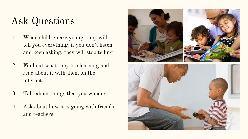## Ask Questions

- 1. When children are young, they will tell you everything, if you don't listen and keep asking, they will stop telling
- 2. Find out what they are learning and read about it with them on the internet
- 3. Talk about things that you wonder
- 4. Ask about how it is going with friends and teachers

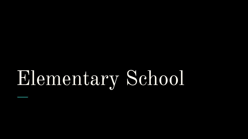# Elementary School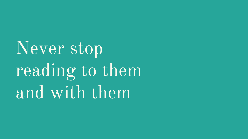Never stop reading to them and with them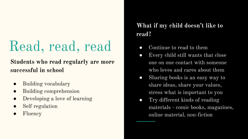# Read, read, read

#### **Students who read regularly are more successful in school**

- Building vocabulary
- **Building comprehension**
- Developing a love of learning
- Self regulation
- Fluency

#### **What if my child doesn't like to read?**

- Continue to read to them
- Every child still wants that close one on one contact with someone who loves and cares about them
- Sharing books is an easy way to share ideas, share your values, stress what is important to you
- Try different kinds of reading materials - comic books, magazines, online material, non-fiction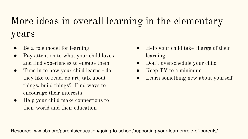## More ideas in overall learning in the elementary years

- Be a role model for learning
- Pay attention to what your child loves and find experiences to engage them
- Tune in to how your child learns do they like to read, do art, talk about things, build things? Find ways to encourage their interests
- Help your child make connections to their world and their education
- Help your child take charge of their learning
- Don't overschedule your child
- Keep TV to a minimum
- Learn something new about yourself

Resource: ww.pbs.org/parents/education/going-to-school/supporting-your-learner/role-of-parents/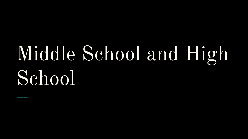# Middle School and High School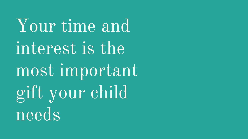Your time and interest is the most important gift your child needs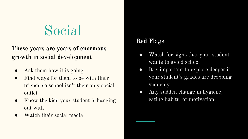## Social

#### **These years are years of enormous growth in social development**

- Ask them how it is going
- Find ways for them to be with their friends so school isn't their only social outlet
- Know the kids your student is hanging out with
- Watch their social media

#### **Red Flags**

- Watch for signs that your student wants to avoid school
- It is important to explore deeper if your student's grades are dropping suddenly
- Any sudden change in hygiene, eating habits, or motivation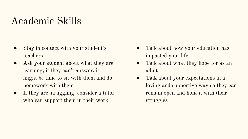### Academic Skills

- Stay in contact with your student's teachers
- Ask your student about what they are learning, if they can't answer, it might be time to sit with them and do homework with them
- If they are struggling, consider a tutor who can support them in their work
- Talk about how your education has impacted your life
- Talk about what they hope for as an adult
- Talk about your expectations in a loving and supportive way so they can remain open and honest with their struggles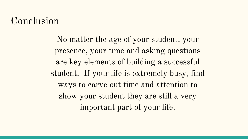### Conclusion

No matter the age of your student, your presence, your time and asking questions are key elements of building a successful student. If your life is extremely busy, find ways to carve out time and attention to show your student they are still a very important part of your life.